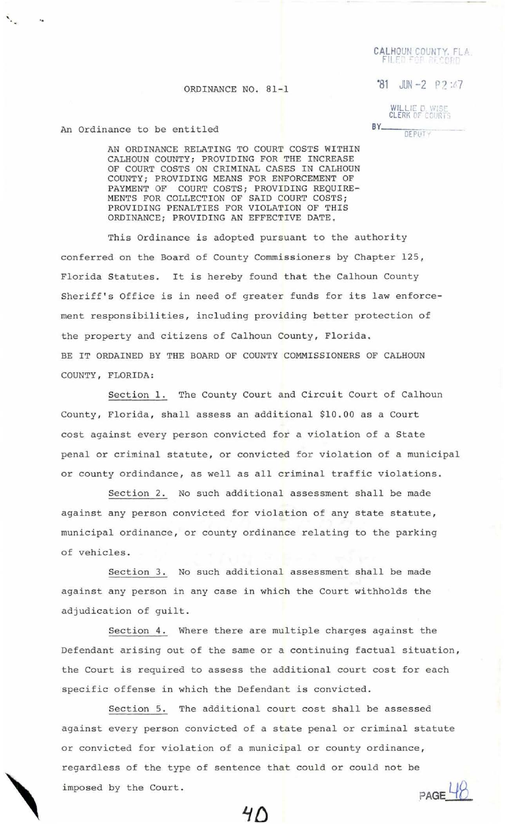CALHOUN COUNTY, FLA.

 $^{\circ}81$  JUN -2 P ? :47

## ORDINANCE NO. 81-1

WILLIE D. WISE<br>CLERK OF COURTS

## $BY$ <sub>---</sub> **DEPIITY**

## An Ordinance to be entitled

'·

AN ORDINANCE RELATING TO COURT COSTS WITHIN CALHOUN COUNTY; PROVIDING FOR THE INCREASE OF COURT COSTS ON CRIMINAL CASES IN CALHOUN COUNTY; PROVIDING MEANS FOR ENFORCEMENT OF PAYMENT OF COURT COSTS; PROVIDING REQUIRE-MENTS FOR COLLECTION OF SAID COURT COSTS; PROVIDING PENALTIES FOR VIOLATION OF THIS ORDINANCE; PROVIDING AN EFFECTIVE DATE.

This Ordinance is adopted pursuant to the authority conferred on the Board of County Commissioners by Chapter 125, Florida Statutes. It is hereby found that the Calhoun County Sheriff's Office is in need of greater funds for its law enforcement responsibilities, including providing better protection of the property and citizens of Calhoun County, Florida. BE IT ORDAINED BY THE BOARD OF COUNTY COMMISSIONERS OF CALHOUN COUNTY , FLORIDA:

Section l. The County Court and Circuit Court of Calhoun County, Florida, shall assess an additional \$10.00 as a Court cost against every person convicted for a violation of a State penal or criminal statute, or convicted for violation of a municipal or county ordindance, as well as all criminal traffic violations.

Section 2. No such additional assessment shall be made against any person convicted for violation of any state statute, municipal ordinance , or county ordinance relating to the parking of vehicles.

Section 3. No such additional assessment shall be made against any person in any case in which the Court withholds the adjudication of guilt.

Section 4. Where there are multiple charges against the Defendant arising out of the same or a continuing factual situation, the Court is required to assess the additional court cost for each specific offense in which the Defendant is convicted.

Section 5. The additional court cost shall be assessed against every person convicted of a state penal or criminal statute or convicted for violation of a municipal or county ordinance, regardless of the type of sentence that could or could not be imposed by the Court.  $PAGE$ <sup> $18$ </sup>

 $40$